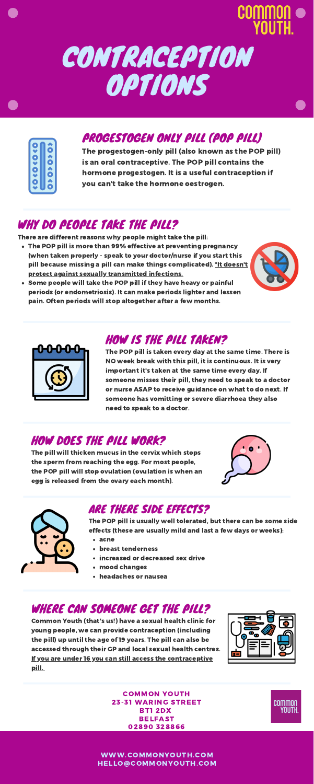# CONTRACEPTION OPTIONS

| ¢ |   |
|---|---|
|   | c |
| C |   |
|   | C |
| C |   |
|   | Œ |
| ٥ |   |
|   | Ó |
|   |   |

### PROGESTOGEN ONLY PILL (POP PILL)

The progestogen-only pill (also known as the POP pill) is an oral contraceptive. The POP pill contains the hormone progestogen. It is a useful contraception if you can't take the hormone oestrogen.

### WHY DO PEOPLE TAKE THE PILL?

- The POP pill is more than 99% effective at preventing pregnancy (when taken properly - speak to your doctor/nurse if you start this pill because missing a pill can make things complicated). \*It doesn't protect against sexually transmitted infections.
	-
- Some people will take the POP pill if they have heavy or painful periods (or endometriosis). It can make periods lighter and lessen pain. Often periods will stop altogether after a few months.



There are different reasons why people might take the pill:

## HOW IS THE PILL TAKEN?

The POP pill is taken every day at the same time. There is NO week break with this pill, it is continuous. It is very important it's taken at the same time every day. If someone misses their pill, they need to speak to a doctor or nurse ASAP to receive guidance on what to do next. If someone has vomitting or severe diarrhoea they also need to speak to a doctor.

### HOW DOES THE PILL WORK?

The pill will thicken mucus in the cervix which stops the sperm from reaching the egg. For most people, the POP pill will stop ovulation (ovulation is when an egg is released from the ovary each month).





### ARE THERE SIDE EFFECTS?

- acne
- breast tenderness
- **· increased or decreased sex drive**
- mood changes
- headaches or nausea

The POP pill is usually well tolerated, but there can be some side effects (these are usually mild and last a few days or weeks):

### WHERE CAN SOMEONE GET THE PILL?

Common Youth (that's us!) have a sexual health clinic for young people, we can provide contraception (including the pill) up until the age of 19 years. The pill can also be accessed through their GP and local sexual health centres. If you are under 16 you can still access the contraceptive pill.



COMMON YOUTH 23-31 WARING STREET BT1 2DX BELFAST 02890 328866



WWW.COMMONYOUTH.COM HELLO@COMMONYOUTH.COM